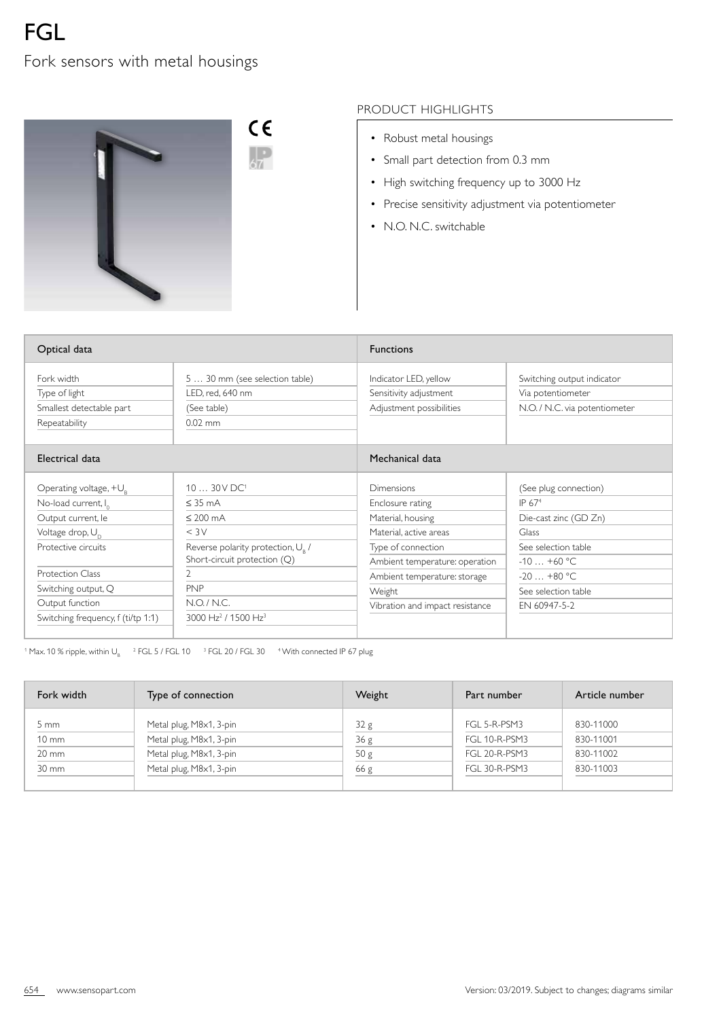## Fork sensors with metal housings



## PRODUCT HIGHLIGHTS

- Robust metal housings
- Small part detection from 0.3 mm
- High switching frequency up to 3000 Hz
- Precise sensitivity adjustment via potentiometer
- N.O. N.C. switchable

| Optical data                                                                                                                                                                                                                                               |                                                                                                                                                                                                                                                          | <b>Functions</b>                                                                                                                                                                                                          |                                                                                                                                                                           |
|------------------------------------------------------------------------------------------------------------------------------------------------------------------------------------------------------------------------------------------------------------|----------------------------------------------------------------------------------------------------------------------------------------------------------------------------------------------------------------------------------------------------------|---------------------------------------------------------------------------------------------------------------------------------------------------------------------------------------------------------------------------|---------------------------------------------------------------------------------------------------------------------------------------------------------------------------|
| Fork width<br>Type of light<br>Smallest detectable part<br>Repeatability                                                                                                                                                                                   | 5  30 mm (see selection table)<br>LED, red, 640 nm<br>(See table)<br>$0.02$ mm                                                                                                                                                                           | Indicator LED, yellow<br>Sensitivity adjustment<br>Adjustment possibilities                                                                                                                                               | Switching output indicator<br>Via potentiometer<br>N.O. / N.C. via potentiometer                                                                                          |
| Electrical data                                                                                                                                                                                                                                            |                                                                                                                                                                                                                                                          | Mechanical data                                                                                                                                                                                                           |                                                                                                                                                                           |
| Operating voltage, $+U_{\circ}$<br>No-load current, I <sub>0</sub><br>Output current, le<br>Voltage drop, U <sub>n</sub><br>Protective circuits<br><b>Protection Class</b><br>Switching output, Q<br>Output function<br>Switching frequency, f (ti/tp 1:1) | 10  30 V DC <sup>1</sup><br>$\leq$ 35 mA<br>$\leq 200$ mA<br>$<$ 3 $\vee$<br>Reverse polarity protection, U <sub>R</sub> /<br>Short-circuit protection (Q)<br>$\overline{2}$<br><b>PNP</b><br>N.O. / N.C.<br>3000 Hz <sup>2</sup> / 1500 Hz <sup>3</sup> | <b>Dimensions</b><br>Enclosure rating<br>Material, housing<br>Material, active areas<br>Type of connection<br>Ambient temperature: operation<br>Ambient temperature: storage<br>Weight<br>Vibration and impact resistance | (See plug connection)<br>IP 67 <sup>4</sup><br>Die-cast zinc (GD Zn)<br>Glass<br>See selection table<br>$-10+60$ °C<br>$-20+80$ °C<br>See selection table<br>EN 60947-5-2 |

 $^{\rm 1}$  Max. 10 % ripple, within U<sub>B</sub>  $^{\rm 2}$  FGL 5 / FGL 10  $^{\rm 3}$  FGL 20 / FGL 30  $^{\rm 4}$  With connected IP 67 plug

| Fork width        | Type of connection      | Weight          | Part number          | Article number |
|-------------------|-------------------------|-----------------|----------------------|----------------|
| $5 \text{ mm}$    | Metal plug, M8x1, 3-pin | 32 <sub>g</sub> | FGL 5-R-PSM3         | 830-11000      |
| $10 \, \text{mm}$ | Metal plug, M8x1, 3-pin | 36g             | FGL 10-R-PSM3        | 830-11001      |
| $20 \, \text{mm}$ | Metal plug, M8x1, 3-pin | 50 <sub>g</sub> | <b>FGL 20-R-PSM3</b> | 830-11002      |
| 30 mm             | Metal plug, M8x1, 3-pin | 66g             | FGL 30-R-PSM3        | 830-11003      |
|                   |                         |                 |                      |                |